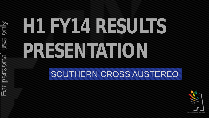only For personal use onlyFor personal use

# H1 FY4 KRSUNS **PRESENTATION**

### SOUTHERN CROSS AUSTEREO

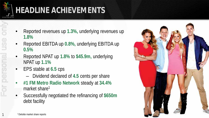

- Reported revenues up **1.3%,** underlying revenues up **1.8%**
- Reported EBITDA up **0.8%,** underlying EBITDA up **0.5%**
- Reported NPAT up **1.8%** to **\$45.9m,** underlying NPAT up **1.1%** 1.8%<br>
1.8%<br>
Reported EE<br>
0.5%<br>
Reported NF<br>
NPAT up 1.1<br>
EPS stable<br>
For personal use of the state<br>
For personal use of the state<br>
For personal use of the state<br>
EPS stable<br>
For the stable<br>
For Successfully<br>
debt facility<br>
	- EPS stable at **6.5** cps
		- Dividend declared of **4.5** cents per share
	- **#1 FM Metro Radio Network** steady at **34.4%**  market share<sup>1</sup>
	- Successfully negotiated the refinancing of **\$650m**  debt facility

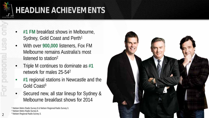

- **#1 FM** breakfast shows in Melbourne, Sydney, Gold Coast and Perth<sup>1</sup>
- With over **900,000** listeners, Fox FM Melbourne remains Australia's most listened to station2 2<br>
2 Privilisen Metro Radio Survey 8. A<br>
2 For personal Radio Survey 8. 2<br>
2 For personal Radio Survey 8. 2<br>
2 For personal Radio Survey 8. 2<br>
2 For personal Radio Survey 8. 2<br>
2 For personal Radio Survey 8. 2<br>
2 For perso
	- Triple M continues to dominate as **#1**  network for males 25-542
	- **#1** regional stations in Newcastle and the Gold Coast3
	- Secured new, all star lineup for Sydney & Melbourne breakfast shows for 2014

<sup>1</sup> Nielsen Metro Radio Survey 8 & Nielsen Regional Radio Survey 3.



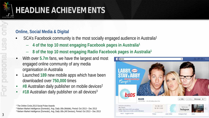

#### **Online, Social Media & Digital**

- SCA's Facebook community is the most socially engaged audience in Australia1
	- **4 of the top 10 most engaging Facebook pages in Australia1**
	- **8 of the top 10 most engaging Radio Facebook pages in Australia1**
- With over **5.7m** fans, we have the largest and most engaged online community of any media organisation in Australia
- Launched **189** new mobile apps which have been downloaded over **750,000** times
- **#8** Australian daily publisher on mobile devices2
- **#18** Australian daily publisher on all devices3



on

<sup>&</sup>lt;sup>1</sup> The Online Circle, 2013 Social Pulse Awards

<sup>2</sup> Nielsen Market Intelligence (Domestic), Avg. Daily UBs (Mobile), Period: Oct 2013 – Dec 2013

<sup>3</sup> Nielsen Market Intelligence (Domestic), Avg. Daily UBs (All Devices), Period: Oct 2013 – Dec 2013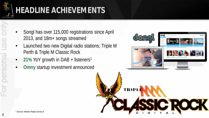

- Songl has over 115,000 registrations since April 2013, and 18m+ songs streamed
- Launched two new Digital radio stations; Triple M Perth & Triple M Classic Rock
- **21%** YoY growth in DAB + listeners1
- **Omny** startup investment announced



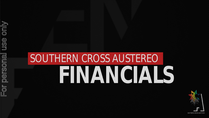only For personal use onlyuse personal  $\mathbb{F}$ or |

# **FINANCIALS** SOUTHERN CROSS AUSTEREO

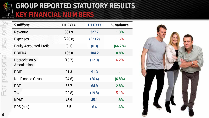

### **GROUP REPORTED STATUTORY RESULTS FINANCIAL NUMBERS**

|   | \$ millions                    |
|---|--------------------------------|
|   | Revenue                        |
|   | Expenses                       |
|   | <b>Equity Accounted Profit</b> |
|   | <b>EBITDA</b>                  |
| Q | Depreciation &<br>Amortisation |
|   | <b>EBIT</b>                    |
|   | <b>Net Finance Costs</b>       |
|   | <b>PBT</b>                     |
|   | Tax                            |
|   | <b>NPAT</b>                    |
|   | EPS (cps)                      |
| 6 |                                |

| \$ millions                    | <b>H1 FY14</b> | <b>H1 FY13</b> | % Variance |
|--------------------------------|----------------|----------------|------------|
| Revenue                        | 331.9          | 327.7          | 1.3%       |
| <b>Expenses</b>                | (226.8)        | (223.2)        | 1.6%       |
| <b>Equity Accounted Profit</b> | (0.1)          | (0.3)          | (66.7%)    |
| <b>EBITDA</b>                  | 105.0          | 104.2          | 0.8%       |
| Depreciation &<br>Amortisation | (13.7)         | (12.9)         | 6.2%       |
| EBIT                           | 91.3           | 91.3           |            |
| <b>Net Finance Costs</b>       | (24.6)         | (26.4)         | (6.8%)     |
| PBT                            | 66.7           | 64.9           | 2.8%       |
| Tax                            | (20.8)         | (19.8)         | 5.1%       |
| <b>NPAT</b>                    | 45.9           | 45.1           | 1.8%       |
| EPS (cps)                      | 6.5            | 6.4            | 1.6%       |

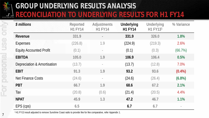

### **GROUP UNDERLYING RESULTS ANALYSIS RECONCILIATION TO UNDERLYING RESULTS FOR H1 FY14**

| \$ millions                    | Reported<br><b>H1 FY14</b> | <b>Adjustments</b><br><b>H1 FY14</b> | <b>Underlying</b><br><b>H1 FY14</b> | <b>Underlying</b><br>H1 FY131 | % Variance |
|--------------------------------|----------------------------|--------------------------------------|-------------------------------------|-------------------------------|------------|
| Revenue                        | 331.9                      | $\equiv$                             | 331.9                               | 326.0                         | 1.8%       |
| Expenses                       | (226.8)                    | 1.9                                  | (224.9)                             | (219.3)                       | 2.6%       |
| <b>Equity Accounted Profit</b> | (0.1)                      | $\overline{\phantom{a}}$             | (0.1)                               | (0.3)                         | (66.7%)    |
| <b>EBITDA</b>                  | 105.0                      | 1.9                                  | 106.9                               | 106.4                         | 0.5%       |
| Depreciation & Amortisation    | (13.7)                     | $\overline{\phantom{a}}$             | (13.7)                              | (12.8)                        | 7.0%       |
| <b>EBIT</b>                    | 91.3                       | 1.9                                  | 93.2                                | 93.6                          | $(0.4\%)$  |
| <b>Net Finance Costs</b>       | (24.6)                     | $\overline{\phantom{a}}$             | (24.6)                              | (26.4)                        | (6.8%)     |
| <b>PBT</b>                     | 66.7                       | 1.9                                  | 68.6                                | 67.2                          | 2.1%       |
| Tax                            | (20.8)                     | (0.6)                                | (21.4)                              | (20.5)                        | 4.4%       |
| <b>NPAT</b>                    | 45.9                       | 1.3                                  | 47.2                                | 46.7                          | 1.1%       |
| EPS (cps)                      | 6.5                        |                                      | 6.7                                 | 6.7                           |            |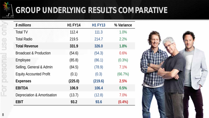

only

For personal use

### **GROUP UNDERLYING RESULTS COMPARATIVE**

| \$ millions                       | <b>H1 FY14</b> | <b>H1 FY13</b> | % Variance |
|-----------------------------------|----------------|----------------|------------|
| <b>Total TV</b>                   | 112.4          | 111.3          | 1.0%       |
| <b>Total Radio</b>                | 219.5          | 214.7          | 2.2%       |
| <b>Total Revenue</b>              | 331.9          | 326.0          | 1.8%       |
| <b>Broadcast &amp; Production</b> | (54.6)         | (54.3)         | 0.6%       |
| Employee                          | (85.8)         | (86.1)         | $(0.3\%)$  |
| Selling, General & Admin          | (84.5)         | (78.9)         | 7.1%       |
| <b>Equity Accounted Profit</b>    | (0.1)          | (0.3)          | (66.7%)    |
| <b>Expenses</b>                   | (225.0)        | (219.6)        | 2.5%       |
| <b>EBITDA</b>                     | 106.9          | 106.4          | 0.5%       |
| Depreciation & Amortisation       | (13.7)         | (12.8)         | 7.0%       |
| EBIT                              | 93.2           | 93.6           | $(0.4\%)$  |

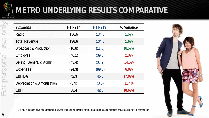

On

USe

personal

Or

### **METRO UNDERLYING RESULTS COMPARATIVE**

| \$ millions                       | <b>H1 FY14</b> | H1 FY131 | % Variance |
|-----------------------------------|----------------|----------|------------|
| Radio                             | 136.6          | 134.5    | 1.6%       |
| <b>Total Revenue</b>              | 136.6          | 134.5    | 1.6%       |
| <b>Broadcast &amp; Production</b> | (10.8)         | (11.8)   | (8.5%)     |
| Employee                          | (40.1)         | (39.3)   | 2.0%       |
| Selling, General & Admin          | (43.4)         | (37.9)   | 14.5%      |
| <b>Expenses</b>                   | (94.3)         | (89.0)   | 6.0%       |
| <b>EBITDA</b>                     | 42.3           | 45.5     | $(7.0\%)$  |
| Depreciation & Amortisation       | (3.9)          | (3.5)    | 11.4%      |
| <b>EBIT</b>                       | 38.4           | 42.0     | $(8.6\%)$  |



1 H1 FY13 expenses have been restated (between Regional and Metro) for integrated group sales model to provide a like for like comparison.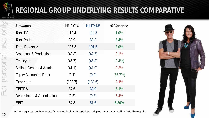

### **REGIONAL GROUP UNDERLYING RESULTS COMPARATIVE**

| \$ millions                       | <b>H1 FY14</b> | H1 FY131 | % Variance |
|-----------------------------------|----------------|----------|------------|
| <b>Total TV</b>                   | 112.4          | 111.3    | 1.0%       |
| <b>Total Radio</b>                | 82.9           | 80.2     | 3.4%       |
| <b>Total Revenue</b>              | 195.3          | 191.5    | 2.0%       |
| <b>Broadcast &amp; Production</b> | (43.8)         | (42.5)   | 3.1%       |
| Employee                          | (45.7)         | (46.8)   | $(2.4\%)$  |
| Selling, General & Admin          | (41.1)         | (41.0)   | 0.3%       |
| <b>Equity Accounted Profit</b>    | (0.1)          | (0.3)    | (66.7%)    |
| <b>Expenses</b>                   | (130.7)        | (130.6)  | 0.1%       |
| <b>EBITDA</b>                     | 64.6           | 60.9     | 6.1%       |
| Depreciation & Amortisation       | (9.8)          | (9.3)    | 5.4%       |
| <b>EBIT</b>                       | 54.8           | 51.6     | 6.20%      |



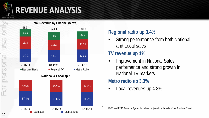### **REVENUE ANALYSIS**



#### **Regional radio up 3.4%**

• Strong performance from both National and Local sales

#### **TV revenue up 1%**

• Improvement in National Sales performance and strong growth in National TV markets

#### **Metro radio up 3.3%**

• Local revenues up 4.3%

FY12 and FY13 Revenue figures have been adjusted for the sale of the Sunshine Coast.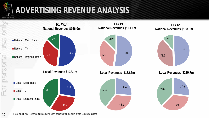

### **ADVERTISING REVENUE ANALYSIS**

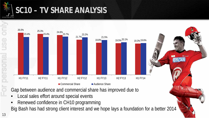

On

personal use

### **SC10 – TV SHARE ANALYSIS**



- Local sales effort around special events
- Renewed confidence in CH10 programming

Big Bash has had strong client interest and we hope lays a foundation for a better 2014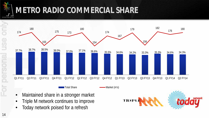

### **METRO RADIO COMMERCIAL SHARE**



• Maintained share in a stronger market

- Triple M network continues to improve
- Today network poised for a refresh

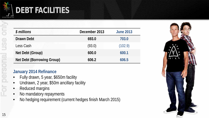

### **DEBT FACILITIES**

| \$ millions                       | December 2013 | <b>June 2013</b> |
|-----------------------------------|---------------|------------------|
| Drawn Debt                        | 693.0         | 703.0            |
| Less Cash                         | (93.0)        | (102.9)          |
| Net Debt (Group)                  | 600.0         | 600.1            |
| <b>Net Debt (Borrowing Group)</b> | 606.2         | 606.5            |

#### **January 2014 Refinance**

- Fully drawn, 5 year, \$650m facility
- Undrawn, 2 year, \$50m ancillary facility
- Reduced margins
- No mandatory repayments
- No hedging requirement (current hedges finish March 2015)

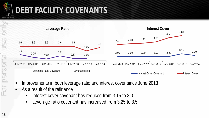

### **DEBT FACILITY COVENANTS**



- Improvements in both leverage ratio and interest cover since June 2013
- As a result of the refinance
	- Interest cover covenant has reduced from 3.15 to 3.0
	- Leverage ratio covenant has increased from 3.25 to 3.5

16For personal use onlyonly or personal use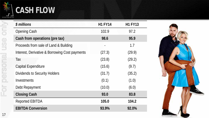

### **CASH FLOW**

| \$ millions                                    | <b>H1 FY14</b> | <b>H1 FY13</b> |
|------------------------------------------------|----------------|----------------|
| <b>Opening Cash</b>                            | 102.9          | 97.2           |
| Cash from operations (pre tax)                 | 98.6           | 95.9           |
| Proceeds from sale of Land & Building          |                | 1.7            |
| Interest, Derivative & Borrowing Cost payments | (27.3)         | (29.9)         |
| Tax                                            | (23.8)         | (29.2)         |
| Capital Expenditure                            | (15.6)         | (9.7)          |
| Dividends to Security Holders                  | (31.7)         | (35.2)         |
| Investments                                    | (0.1)          | (1.0)          |
| Debt Repayment                                 | (10.0)         | (6.0)          |
| <b>Closing Cash</b>                            | 93.0           | 83.8           |
| <b>Reported EBITDA</b>                         | 105.0          | 104.2          |
| <b>EBITDA Conversion</b>                       | 93.9%          | 92.0%          |

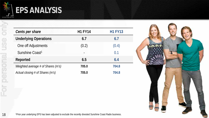

### **EPS ANALYSIS**

| Cents per share                                                                                                          | <b>H1 FY14</b> | <b>H1 FY13</b> |
|--------------------------------------------------------------------------------------------------------------------------|----------------|----------------|
| <b>Underlying Operations</b>                                                                                             | 6.7            | 6.7            |
| One off Adjustments                                                                                                      | (0.2)          | (0.4)          |
| Sunshine Coast <sup>1</sup>                                                                                              |                | 0.1            |
| Reported                                                                                                                 | 6.5            | 6.4            |
| Weighted average # of Shares (m's)                                                                                       | 705.0          | 704.8          |
| Actual closing # of Shares (m's)                                                                                         | 705.0          | 704.8          |
|                                                                                                                          |                |                |
|                                                                                                                          |                |                |
|                                                                                                                          |                |                |
|                                                                                                                          |                |                |
|                                                                                                                          |                |                |
| <sup>1</sup> Prior year underlying EPS has been adjusted to exclude the recently divested Sunshine Coast Radio business. |                |                |

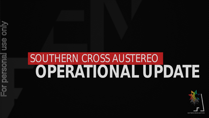only For personal use only**USS** For personal

# **OPERATIONAL UPDATE** SOUTHERN CROSS AUSTEREO

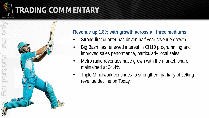### **TRADING COMMENTARY**



#### **Revenue up 1.8% with growth across all three mediums**

- Strong first quarter has driven half year revenue growth
- Big Bash has renewed interest in CH10 programming and improved sales performance, particularly local sales
- Metro radio revenues have grown with the market, share maintained at 34.4%
- Triple M network continues to strengthen, partially offsetting revenue decline on Today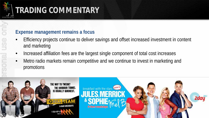

### **TRADING COMMENTARY**

#### **Expense management remains a focus**

- Efficiency projects continue to deliver savings and offset increased investment in content and marketing
- Increased affiliation fees are the largest single component of total cost increases
- Metro radio markets remain competitive and we continue to invest in marketing and promotions

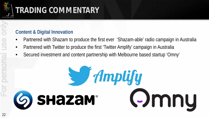

### **TRADING COMMENTARY**

#### **Content & Digital Innovation**

- Partnered with Shazam to produce the first ever 'Shazam-able' radio campaign in Australia
- Partnered with Twitter to produce the first 'Twitter Amplify' campaign in Australia
- Secured investment and content partnership with Melbourne based startup 'Omny'

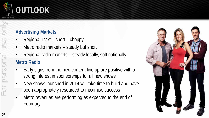

### **OUTLOOK**

#### **Advertising Markets**

- Regional TV still short choppy
- Metro radio markets steady but short
- Regional radio markets steady locally, soft nationally

#### **Metro Radio**

- Early signs from the new content line up are positive with a strong interest in sponsorships for all new shows
- New shows launched in 2014 will take time to build and have been appropriately resourced to maximise success
- Metro revenues are performing as expected to the end of February

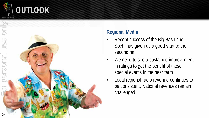





#### **Regional Media**

- Recent success of the Big Bash and Sochi has given us a good start to the second half
- We need to see a sustained improvement in ratings to get the benefit of these special events in the near term
- Local regional radio revenue continues to be consistent, National revenues remain challenged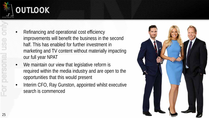

### **OUTLOOK**

- 25For personal use onlyFor personal use
- Refinancing and operational cost efficiency improvements will benefit the business in the second half. This has enabled for further investment in marketing and TV content without materially impacting our full year NPAT
- We maintain our view that legislative reform is required within the media industry and are open to the opportunities that this would present
- Interim CFO, Ray Gunston, appointed whilst executive search is commenced

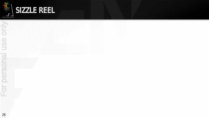



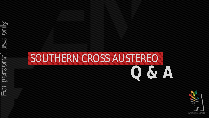

## **Q & A** SOUTHERN CROSS AUSTEREO